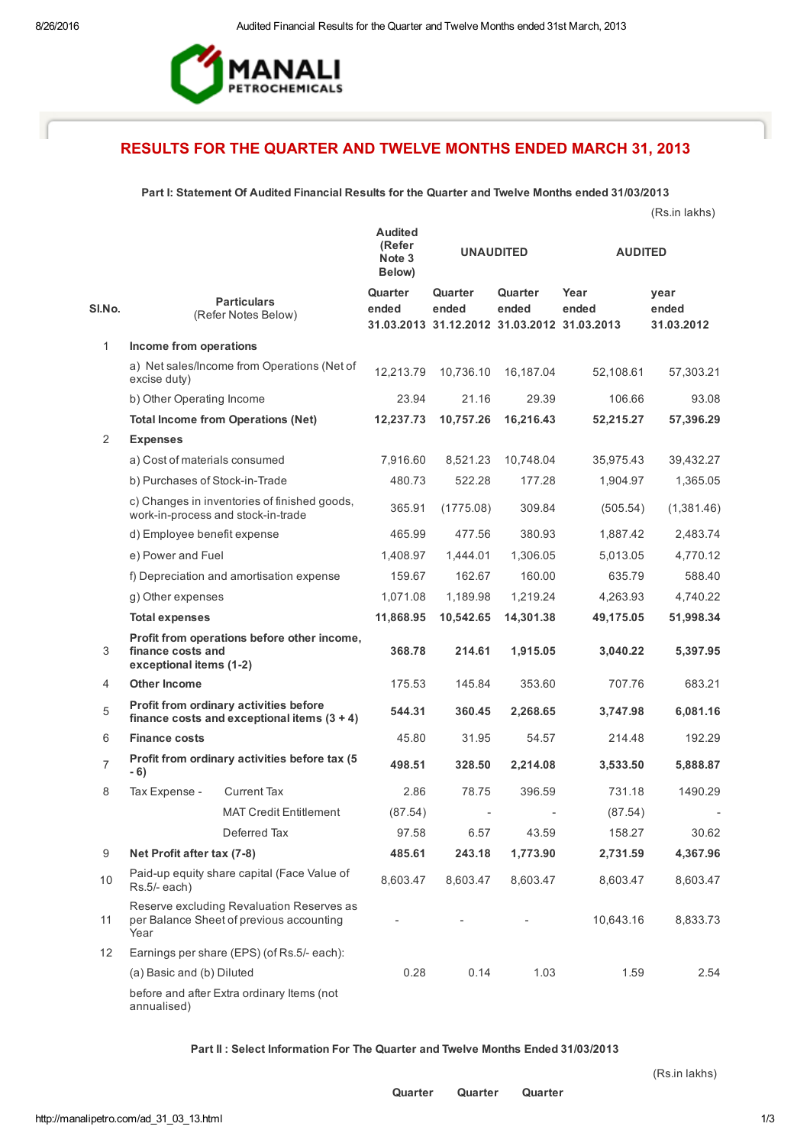

# RESULTS FOR THE QUARTER AND TWELVE MONTHS ENDED MARCH 31, 2013

## Part I: Statement Of Audited Financial Results for the Quarter and Twelve Months ended 31/03/2013

|                |                                                                                               |                                                                                    |                                              |                                                                 |                  |                | (Rs.in lakhs)               |
|----------------|-----------------------------------------------------------------------------------------------|------------------------------------------------------------------------------------|----------------------------------------------|-----------------------------------------------------------------|------------------|----------------|-----------------------------|
|                |                                                                                               |                                                                                    | <b>Audited</b><br>(Refer<br>Note 3<br>Below) | <b>UNAUDITED</b>                                                |                  | <b>AUDITED</b> |                             |
| SI.No.         |                                                                                               | <b>Particulars</b><br>(Refer Notes Below)                                          | Quarter<br>ended                             | Quarter<br>ended<br>31.03.2013 31.12.2012 31.03.2012 31.03.2013 | Quarter<br>ended | Year<br>ended  | year<br>ended<br>31.03.2012 |
| 1              | Income from operations                                                                        |                                                                                    |                                              |                                                                 |                  |                |                             |
|                | excise duty)                                                                                  | a) Net sales/Income from Operations (Net of                                        | 12,213.79                                    | 10,736.10                                                       | 16,187.04        | 52,108.61      | 57,303.21                   |
|                | b) Other Operating Income                                                                     |                                                                                    | 23.94                                        | 21.16                                                           | 29.39            | 106.66         | 93.08                       |
|                |                                                                                               | <b>Total Income from Operations (Net)</b>                                          | 12,237.73                                    | 10,757.26                                                       | 16,216.43        | 52,215.27      | 57,396.29                   |
| 2              | <b>Expenses</b>                                                                               |                                                                                    |                                              |                                                                 |                  |                |                             |
|                | a) Cost of materials consumed                                                                 |                                                                                    | 7,916.60                                     | 8,521.23                                                        | 10,748.04        | 35,975.43      | 39,432.27                   |
|                | b) Purchases of Stock-in-Trade                                                                |                                                                                    | 480.73                                       | 522.28                                                          | 177.28           | 1,904.97       | 1,365.05                    |
|                |                                                                                               | c) Changes in inventories of finished goods,<br>work-in-process and stock-in-trade | 365.91                                       | (1775.08)                                                       | 309.84           | (505.54)       | (1,381.46)                  |
|                | d) Employee benefit expense                                                                   |                                                                                    | 465.99                                       | 477.56                                                          | 380.93           | 1,887.42       | 2,483.74                    |
|                | e) Power and Fuel                                                                             |                                                                                    | 1,408.97                                     | 1,444.01                                                        | 1,306.05         | 5,013.05       | 4,770.12                    |
|                |                                                                                               | f) Depreciation and amortisation expense                                           | 159.67                                       | 162.67                                                          | 160.00           | 635.79         | 588.40                      |
|                | g) Other expenses                                                                             |                                                                                    | 1,071.08                                     | 1,189.98                                                        | 1,219.24         | 4,263.93       | 4,740.22                    |
|                | <b>Total expenses</b>                                                                         |                                                                                    | 11,868.95                                    | 10,542.65                                                       | 14,301.38        | 49,175.05      | 51,998.34                   |
| 3              | finance costs and<br>exceptional items (1-2)                                                  | Profit from operations before other income,                                        | 368.78                                       | 214.61                                                          | 1,915.05         | 3,040.22       | 5,397.95                    |
| 4              | <b>Other Income</b>                                                                           |                                                                                    | 175.53                                       | 145.84                                                          | 353.60           | 707.76         | 683.21                      |
| 5              | Profit from ordinary activities before<br>finance costs and exceptional items $(3 + 4)$       |                                                                                    | 544.31                                       | 360.45                                                          | 2,268.65         | 3,747.98       | 6,081.16                    |
| 6              | <b>Finance costs</b>                                                                          |                                                                                    | 45.80                                        | 31.95                                                           | 54.57            | 214.48         | 192.29                      |
| $\overline{7}$ | - 6)                                                                                          | Profit from ordinary activities before tax (5                                      | 498.51                                       | 328.50                                                          | 2,214.08         | 3,533.50       | 5,888.87                    |
| 8              | Tax Expense -                                                                                 | <b>Current Tax</b>                                                                 | 2.86                                         | 78.75                                                           | 396.59           | 731.18         | 1490.29                     |
|                |                                                                                               | <b>MAT Credit Entitlement</b>                                                      | (87.54)                                      |                                                                 |                  | (87.54)        |                             |
|                |                                                                                               | Deferred Tax                                                                       | 97.58                                        | 6.57                                                            | 43.59            | 158.27         | 30.62                       |
| 9              | Net Profit after tax (7-8)                                                                    |                                                                                    | 485.61                                       | 243.18                                                          | 1,773.90         | 2,731.59       | 4,367.96                    |
| 10             | Paid-up equity share capital (Face Value of<br>Rs.5/- each)                                   |                                                                                    | 8,603.47                                     | 8,603.47                                                        | 8,603.47         | 8,603.47       | 8,603.47                    |
| 11             | Reserve excluding Revaluation Reserves as<br>per Balance Sheet of previous accounting<br>Year |                                                                                    |                                              |                                                                 |                  | 10,643.16      | 8,833.73                    |
| 12             |                                                                                               | Earnings per share (EPS) (of Rs.5/- each):                                         |                                              |                                                                 |                  |                |                             |
|                | (a) Basic and (b) Diluted                                                                     |                                                                                    | 0.28                                         | 0.14                                                            | 1.03             | 1.59           | 2.54                        |
|                | annualised)                                                                                   | before and after Extra ordinary Items (not                                         |                                              |                                                                 |                  |                |                             |

## Part II : Select Information For The Quarter and Twelve Months Ended 31/03/2013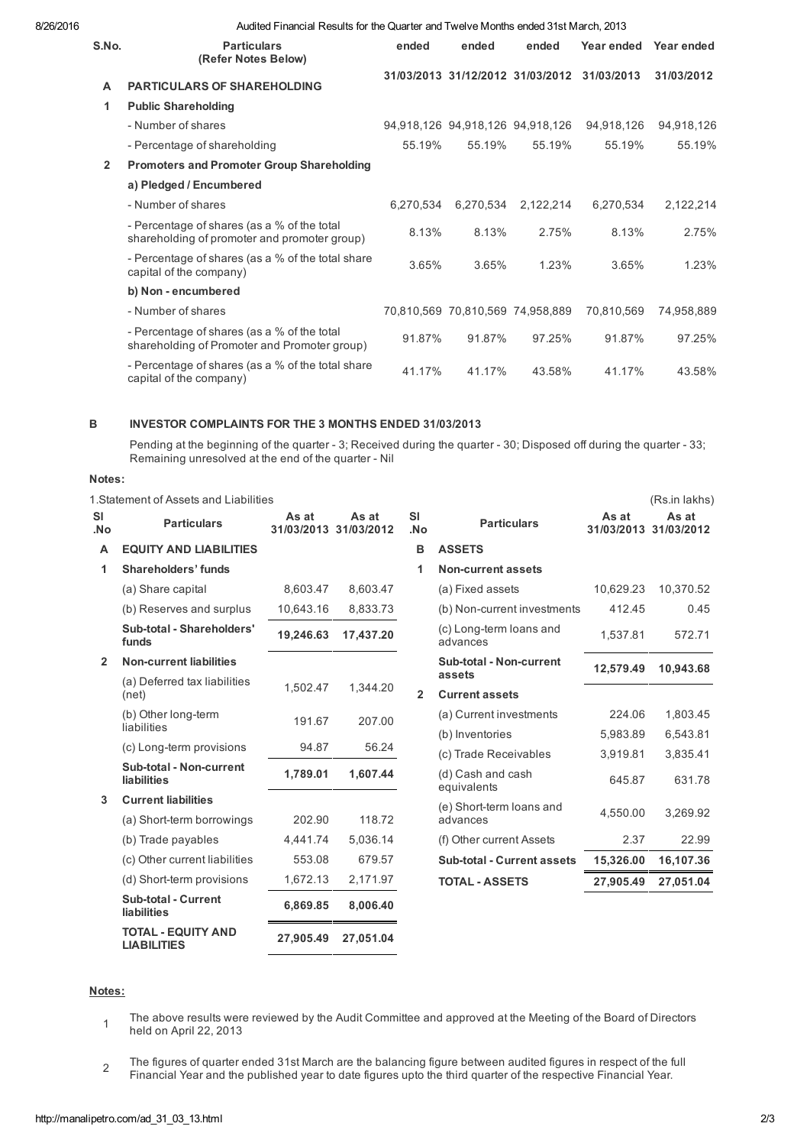8/26/2016 Audited Financial Results for the Quarter and Twelve Months ended 31st March, 2013

| S.No.          | <b>Particulars</b><br>(Refer Notes Below)                                                   | ended     | ended                            | ended                            | Year ended | Year ended |
|----------------|---------------------------------------------------------------------------------------------|-----------|----------------------------------|----------------------------------|------------|------------|
| A              | <b>PARTICULARS OF SHAREHOLDING</b>                                                          |           |                                  | 31/03/2013 31/12/2012 31/03/2012 | 31/03/2013 | 31/03/2012 |
| 1              | <b>Public Shareholding</b>                                                                  |           |                                  |                                  |            |            |
|                | - Number of shares                                                                          |           |                                  | 94,918,126 94,918,126 94,918,126 | 94,918,126 | 94,918,126 |
|                | - Percentage of shareholding                                                                | 55.19%    | 55.19%                           | 55.19%                           | 55.19%     | 55.19%     |
| $\overline{2}$ | <b>Promoters and Promoter Group Shareholding</b>                                            |           |                                  |                                  |            |            |
|                | a) Pledged / Encumbered                                                                     |           |                                  |                                  |            |            |
|                | - Number of shares                                                                          | 6,270,534 | 6,270,534                        | 2,122,214                        | 6,270,534  | 2,122,214  |
|                | - Percentage of shares (as a % of the total<br>shareholding of promoter and promoter group) | 8.13%     | 8.13%                            | 2.75%                            | 8.13%      | 2.75%      |
|                | - Percentage of shares (as a % of the total share<br>capital of the company)                | 3.65%     | 3.65%                            | 1.23%                            | 3.65%      | 1.23%      |
|                | b) Non - encumbered                                                                         |           |                                  |                                  |            |            |
|                | - Number of shares                                                                          |           | 70,810,569 70,810,569 74,958,889 |                                  | 70,810,569 | 74,958,889 |
|                | - Percentage of shares (as a % of the total<br>shareholding of Promoter and Promoter group) | 91.87%    | 91.87%                           | 97.25%                           | 91.87%     | 97.25%     |
|                | - Percentage of shares (as a % of the total share<br>capital of the company)                | 41.17%    | 41.17%                           | 43.58%                           | 41.17%     | 43.58%     |

#### B INVESTOR COMPLAINTS FOR THE 3 MONTHS ENDED 31/03/2013

Pending at the beginning of the quarter - 3; Received during the quarter - 30; Disposed off during the quarter - 33; Remaining unresolved at the end of the quarter - Nil

### Notes:

1.Statement of Assets and Liabilities (Rs.in lakhs)

| SI<br>No.      | <b>Particulars</b>                              | As at<br>31/03/2013 31/03/2012 | As at     | <b>SI</b><br>.No | <b>Particulars</b>                  | As at     | As at<br>31/03/2013 31/03/2012 |
|----------------|-------------------------------------------------|--------------------------------|-----------|------------------|-------------------------------------|-----------|--------------------------------|
| A              | <b>EQUITY AND LIABILITIES</b>                   |                                |           | в                | <b>ASSETS</b>                       |           |                                |
| 1              | Shareholders' funds                             |                                |           | 1                | <b>Non-current assets</b>           |           |                                |
|                | (a) Share capital                               | 8,603.47                       | 8,603.47  |                  | (a) Fixed assets                    | 10,629.23 | 10,370.52                      |
|                | (b) Reserves and surplus                        | 10,643.16                      | 8,833.73  |                  | (b) Non-current investments         | 412.45    | 0.45                           |
|                | Sub-total - Shareholders'<br>funds              | 19,246.63                      | 17,437.20 |                  | (c) Long-term loans and<br>advances | 1,537.81  | 572.71                         |
| $\overline{2}$ | <b>Non-current liabilities</b>                  |                                |           |                  | Sub-total - Non-current<br>assets   | 12,579.49 | 10,943.68                      |
|                | (a) Deferred tax liabilities<br>(net)           | 1.502.47                       | 1.344.20  | $\overline{2}$   | <b>Current assets</b>               |           |                                |
|                | (b) Other long-term                             | 191.67                         | 207.00    |                  | (a) Current investments             | 224.06    | 1,803.45                       |
|                | liabilities                                     |                                |           |                  | (b) Inventories                     | 5,983.89  | 6,543.81                       |
|                | (c) Long-term provisions                        | 94.87                          | 56.24     |                  | (c) Trade Receivables               | 3,919.81  | 3,835.41                       |
|                | Sub-total - Non-current<br><b>liabilities</b>   | 1,789.01                       | 1,607.44  |                  | (d) Cash and cash<br>equivalents    | 645.87    | 631.78                         |
| 3              | <b>Current liabilities</b>                      |                                |           |                  | (e) Short-term loans and            |           |                                |
|                | (a) Short-term borrowings                       | 202.90                         | 118.72    |                  | advances                            | 4.550.00  | 3.269.92                       |
|                | (b) Trade payables                              | 4.441.74                       | 5,036.14  |                  | (f) Other current Assets            | 2.37      | 22.99                          |
|                | (c) Other current liabilities                   | 553.08                         | 679.57    |                  | Sub-total - Current assets          | 15,326.00 | 16,107.36                      |
|                | (d) Short-term provisions                       | 1,672.13                       | 2,171.97  |                  | <b>TOTAL - ASSETS</b>               | 27,905.49 | 27,051.04                      |
|                | <b>Sub-total - Current</b><br>liabilities       | 6,869.85                       | 8,006.40  |                  |                                     |           |                                |
|                | <b>TOTAL - EQUITY AND</b><br><b>LIABILITIES</b> | 27,905.49                      | 27,051.04 |                  |                                     |           |                                |

## Notes:

1 The above results were reviewed by the Audit Committee and approved at the Meeting of the Board of Directors held on April 22, 2013

2 The figures of quarter ended 31st March are the balancing figure between audited figures in respect of the full Financial Year and the published year to date figures upto the third quarter of the respective Financial Year.